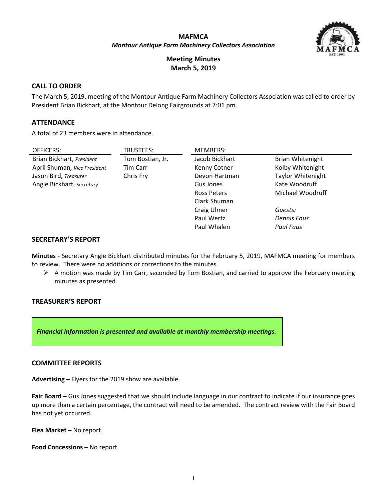## **MAFMCA** *Montour Antique Farm Machinery Collectors Association*



**Meeting Minutes March 5, 2019**

## **CALL TO ORDER**

The March 5, 2019, meeting of the Montour Antique Farm Machinery Collectors Association was called to order by President Brian Bickhart, at the Montour Delong Fairgrounds at 7:01 pm.

#### **ATTENDANCE**

A total of 23 members were in attendance.

| OFFICERS:                    | TRUSTEES:        | <b>MEMBERS:</b>    |                          |
|------------------------------|------------------|--------------------|--------------------------|
| Brian Bickhart, President    | Tom Bostian, Jr. | Jacob Bickhart     | <b>Brian Whitenight</b>  |
| April Shuman, Vice President | Tim Carr         | Kenny Cotner       | Kolby Whitenight         |
| Jason Bird, Treasurer        | Chris Fry        | Devon Hartman      | <b>Taylor Whitenight</b> |
| Angie Bickhart, Secretary    |                  | Gus Jones          | Kate Woodruff            |
|                              |                  | <b>Ross Peters</b> | Michael Woodruff         |
|                              |                  | Clark Shuman       |                          |
|                              |                  | Craig Ulmer        | Guests:                  |
|                              |                  | Paul Wertz         | Dennis Faus              |
|                              |                  | Paul Whalen        | Paul Faus                |

### **SECRETARY'S REPORT**

**Minutes** - Secretary Angie Bickhart distributed minutes for the February 5, 2019, MAFMCA meeting for members to review. There were no additions or corrections to the minutes.

 $\triangleright$  A motion was made by Tim Carr, seconded by Tom Bostian, and carried to approve the February meeting minutes as presented.

## **TREASURER'S REPORT**

*Financial information is presented and available at monthly membership meetings.*

#### **COMMITTEE REPORTS**

**Advertising** – Flyers for the 2019 show are available.

**Fair Board** – Gus Jones suggested that we should include language in our contract to indicate if our insurance goes up more than a certain percentage, the contract will need to be amended. The contract review with the Fair Board has not yet occurred.

**Flea Market** – No report.

**Food Concessions** – No report.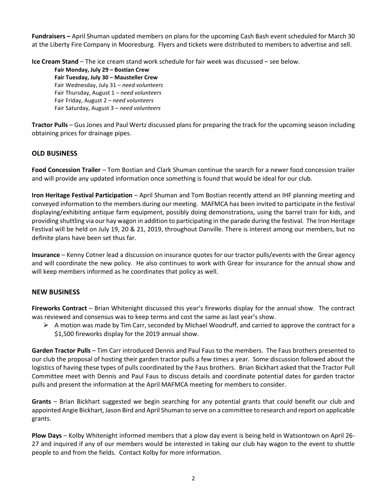**Fundraisers –** April Shuman updated members on plans for the upcoming Cash Bash event scheduled for March 30 at the Liberty Fire Company in Mooresburg. Flyers and tickets were distributed to members to advertise and sell.

**Ice Cream Stand** – The ice cream stand work schedule for fair week was discussed – see below.

**Fair Monday, July 29 – Bostian Crew Fair Tuesday, July 30 – Mausteller Crew** Fair Wednesday, July 31 – *need volunteers* Fair Thursday, August 1 – *need volunteers* Fair Friday, August 2 – *need volunteers* Fair Saturday, August 3 – *need volunteers*

**Tractor Pulls** – Gus Jones and Paul Wertz discussed plans for preparing the track for the upcoming season including obtaining prices for drainage pipes.

# **OLD BUSINESS**

**Food Concession Trailer** – Tom Bostian and Clark Shuman continue the search for a newer food concession trailer and will provide any updated information once something is found that would be ideal for our club.

**Iron Heritage Festival Participation** – April Shuman and Tom Bostian recently attend an IHF planning meeting and conveyed information to the members during our meeting. MAFMCA has been invited to participate in the festival displaying/exhibiting antique farm equipment, possibly doing demonstrations, using the barrel train for kids, and providing shuttling via our hay wagon in addition to participating in the parade during the festival. The Iron Heritage Festival will be held on July 19, 20 & 21, 2019, throughout Danville. There is interest among our members, but no definite plans have been set thus far.

**Insurance** – Kenny Cotner lead a discussion on insurance quotes for our tractor pulls/events with the Grear agency and will coordinate the new policy. He also continues to work with Grear for insurance for the annual show and will keep members informed as he coordinates that policy as well.

# **NEW BUSINESS**

**Fireworks Contract** – Brian Whitenight discussed this year's fireworks display for the annual show. The contract was reviewed and consensus was to keep terms and cost the same as last year's show.

 $\triangleright$  A motion was made by Tim Carr, seconded by Michael Woodruff, and carried to approve the contract for a \$1,500 fireworks display for the 2019 annual show.

**Garden Tractor Pulls** – Tim Carr introduced Dennis and Paul Faus to the members. The Faus brothers presented to our club the proposal of hosting their garden tractor pulls a few times a year. Some discussion followed about the logistics of having these types of pulls coordinated by the Faus brothers. Brian Bickhart asked that the Tractor Pull Committee meet with Dennis and Paul Faus to discuss details and coordinate potential dates for garden tractor pulls and present the information at the April MAFMCA meeting for members to consider.

**Grants** – Brian Bickhart suggested we begin searching for any potential grants that could benefit our club and appointed Angie Bickhart, Jason Bird and April Shuman to serve on a committee to research and report on applicable grants.

**Plow Days** – Kolby Whitenight informed members that a plow day event is being held in Watsontown on April 26- 27 and inquired if any of our members would be interested in taking our club hay wagon to the event to shuttle people to and from the fields. Contact Kolby for more information.